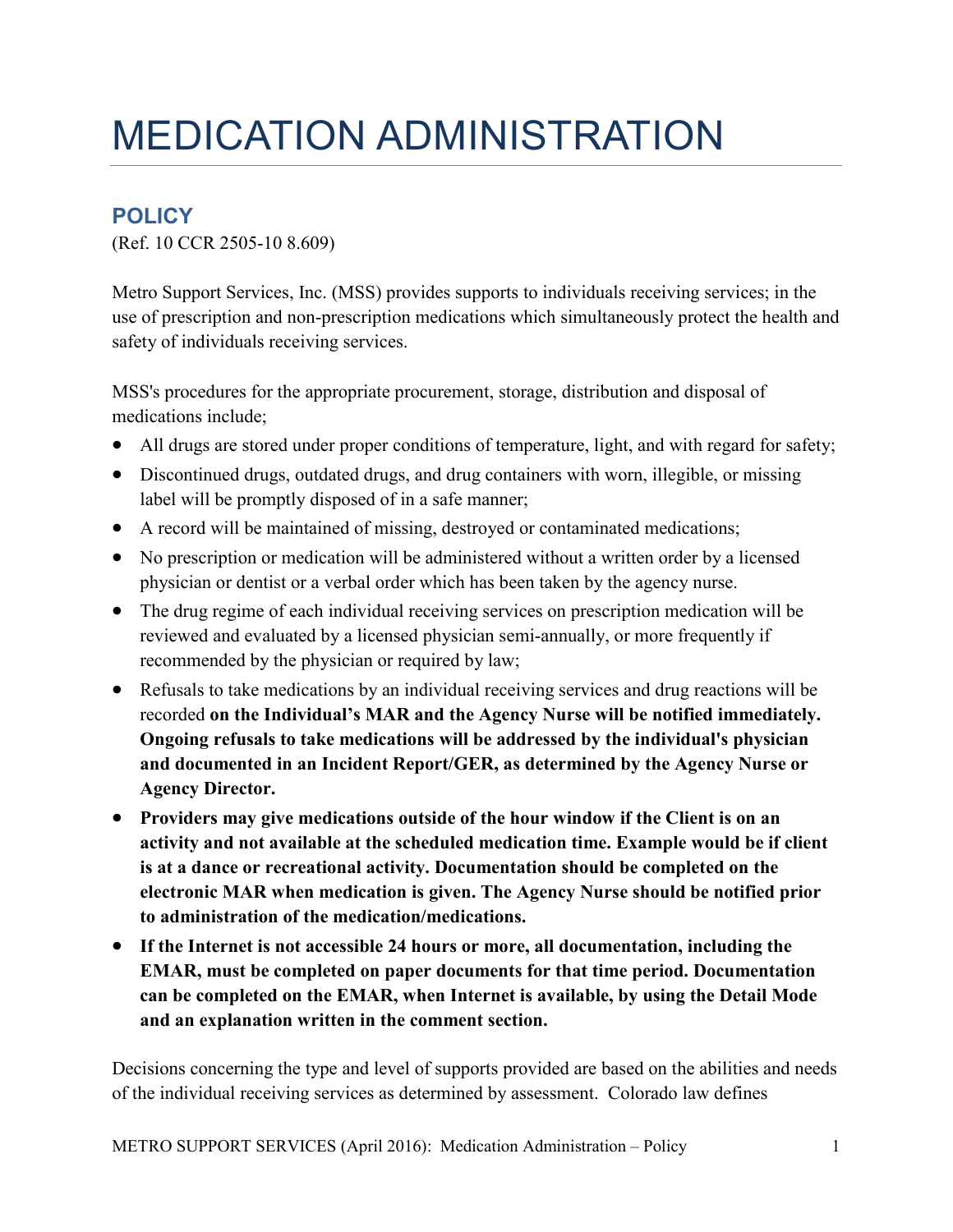## MEDICATION ADMINISTRATION

## **POLICY**

(Ref. 10 CCR 2505-10 8.609)

Metro Support Services, Inc. (MSS) provides supports to individuals receiving services; in the use of prescription and non-prescription medications which simultaneously protect the health and safety of individuals receiving services.

MSS's procedures for the appropriate procurement, storage, distribution and disposal of medications include;

- All drugs are stored under proper conditions of temperature, light, and with regard for safety;
- Discontinued drugs, outdated drugs, and drug containers with worn, illegible, or missing label will be promptly disposed of in a safe manner;
- A record will be maintained of missing, destroyed or contaminated medications;
- No prescription or medication will be administered without a written order by a licensed physician or dentist or a verbal order which has been taken by the agency nurse.
- The drug regime of each individual receiving services on prescription medication will be reviewed and evaluated by a licensed physician semi-annually, or more frequently if recommended by the physician or required by law;
- Refusals to take medications by an individual receiving services and drug reactions will be recorded **on the Individual's MAR and the Agency Nurse will be notified immediately. Ongoing refusals to take medications will be addressed by the individual's physician and documented in an Incident Report/GER, as determined by the Agency Nurse or Agency Director.**
- **Providers may give medications outside of the hour window if the Client is on an activity and not available at the scheduled medication time. Example would be if client is at a dance or recreational activity. Documentation should be completed on the electronic MAR when medication is given. The Agency Nurse should be notified prior to administration of the medication/medications.**
- **If the Internet is not accessible 24 hours or more, all documentation, including the EMAR, must be completed on paper documents for that time period. Documentation can be completed on the EMAR, when Internet is available, by using the Detail Mode and an explanation written in the comment section.**

Decisions concerning the type and level of supports provided are based on the abilities and needs of the individual receiving services as determined by assessment. Colorado law defines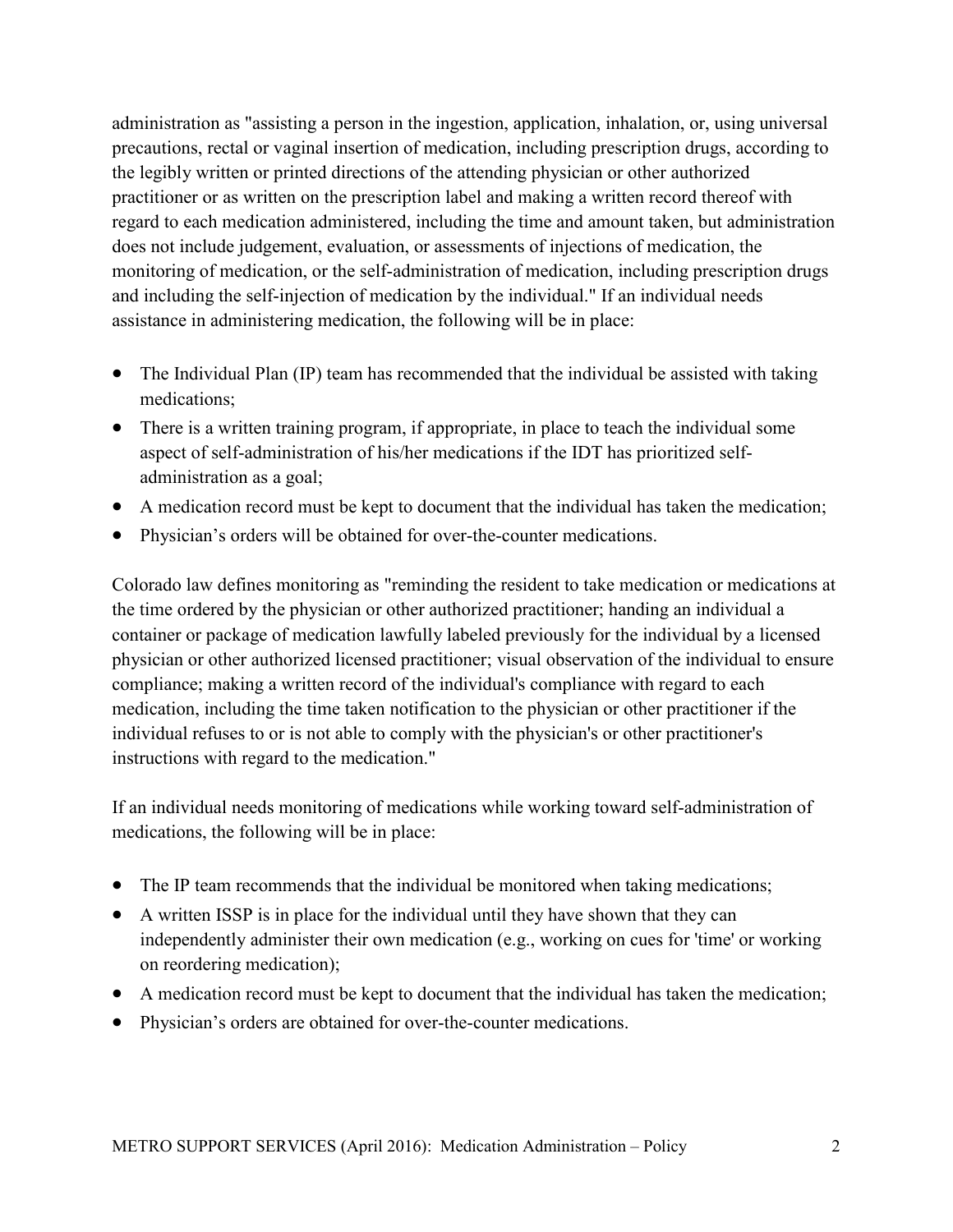administration as "assisting a person in the ingestion, application, inhalation, or, using universal precautions, rectal or vaginal insertion of medication, including prescription drugs, according to the legibly written or printed directions of the attending physician or other authorized practitioner or as written on the prescription label and making a written record thereof with regard to each medication administered, including the time and amount taken, but administration does not include judgement, evaluation, or assessments of injections of medication, the monitoring of medication, or the self-administration of medication, including prescription drugs and including the self-injection of medication by the individual." If an individual needs assistance in administering medication, the following will be in place:

- The Individual Plan (IP) team has recommended that the individual be assisted with taking medications;
- There is a written training program, if appropriate, in place to teach the individual some aspect of self-administration of his/her medications if the IDT has prioritized selfadministration as a goal;
- A medication record must be kept to document that the individual has taken the medication;
- Physician's orders will be obtained for over-the-counter medications.

Colorado law defines monitoring as "reminding the resident to take medication or medications at the time ordered by the physician or other authorized practitioner; handing an individual a container or package of medication lawfully labeled previously for the individual by a licensed physician or other authorized licensed practitioner; visual observation of the individual to ensure compliance; making a written record of the individual's compliance with regard to each medication, including the time taken notification to the physician or other practitioner if the individual refuses to or is not able to comply with the physician's or other practitioner's instructions with regard to the medication."

If an individual needs monitoring of medications while working toward self-administration of medications, the following will be in place:

- The IP team recommends that the individual be monitored when taking medications;
- A written ISSP is in place for the individual until they have shown that they can independently administer their own medication (e.g., working on cues for 'time' or working on reordering medication);
- A medication record must be kept to document that the individual has taken the medication;
- Physician's orders are obtained for over-the-counter medications.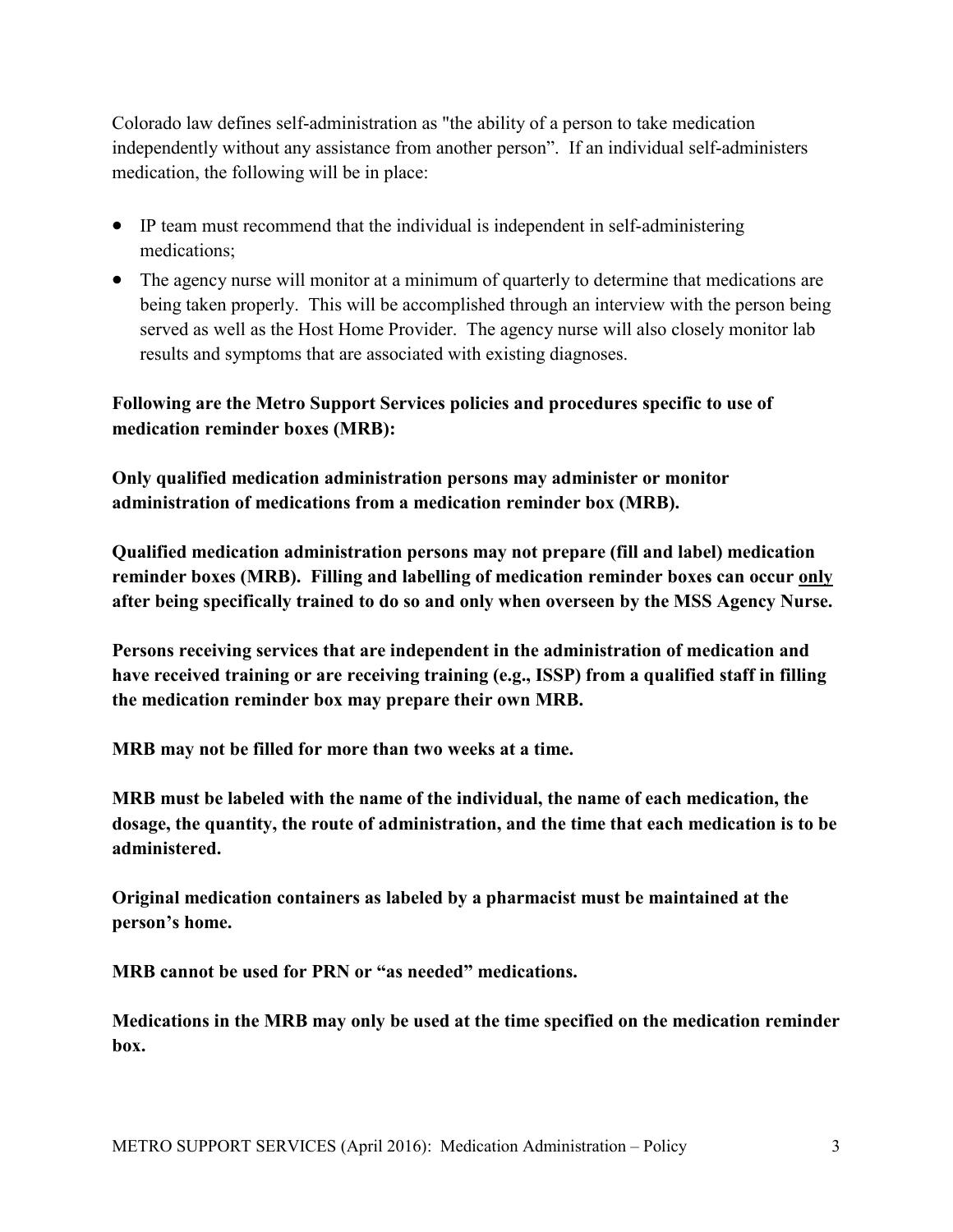Colorado law defines self-administration as "the ability of a person to take medication independently without any assistance from another person". If an individual self-administers medication, the following will be in place:

- IP team must recommend that the individual is independent in self-administering medications;
- The agency nurse will monitor at a minimum of quarterly to determine that medications are being taken properly. This will be accomplished through an interview with the person being served as well as the Host Home Provider. The agency nurse will also closely monitor lab results and symptoms that are associated with existing diagnoses.

## **Following are the Metro Support Services policies and procedures specific to use of medication reminder boxes (MRB):**

**Only qualified medication administration persons may administer or monitor administration of medications from a medication reminder box (MRB).** 

**Qualified medication administration persons may not prepare (fill and label) medication reminder boxes (MRB). Filling and labelling of medication reminder boxes can occur only after being specifically trained to do so and only when overseen by the MSS Agency Nurse.** 

**Persons receiving services that are independent in the administration of medication and have received training or are receiving training (e.g., ISSP) from a qualified staff in filling the medication reminder box may prepare their own MRB.** 

**MRB may not be filled for more than two weeks at a time.** 

**MRB must be labeled with the name of the individual, the name of each medication, the dosage, the quantity, the route of administration, and the time that each medication is to be administered.** 

**Original medication containers as labeled by a pharmacist must be maintained at the person's home.** 

**MRB cannot be used for PRN or "as needed" medications.** 

**Medications in the MRB may only be used at the time specified on the medication reminder box.**